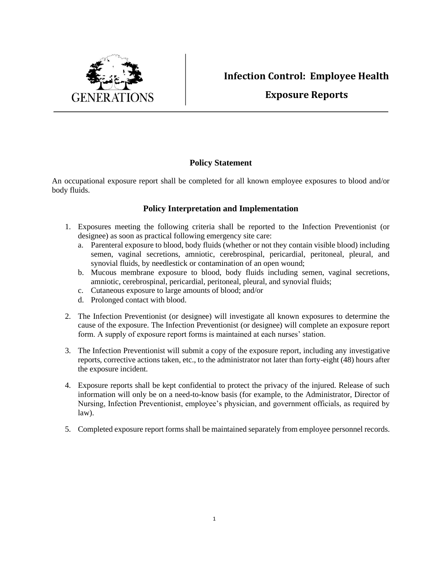## **Infection Control: Employee Health**



## **Exposure Reports**

## **Policy Statement**

An occupational exposure report shall be completed for all known employee exposures to blood and/or body fluids.

## **Policy Interpretation and Implementation**

- 1. Exposures meeting the following criteria shall be reported to the Infection Preventionist (or designee) as soon as practical following emergency site care:
	- a. Parenteral exposure to blood, body fluids (whether or not they contain visible blood) including semen, vaginal secretions, amniotic, cerebrospinal, pericardial, peritoneal, pleural, and synovial fluids, by needlestick or contamination of an open wound;
	- b. Mucous membrane exposure to blood, body fluids including semen, vaginal secretions, amniotic, cerebrospinal, pericardial, peritoneal, pleural, and synovial fluids;
	- c. Cutaneous exposure to large amounts of blood; and/or
	- d. Prolonged contact with blood.
- 2. The Infection Preventionist (or designee) will investigate all known exposures to determine the cause of the exposure. The Infection Preventionist (or designee) will complete an exposure report form. A supply of exposure report forms is maintained at each nurses' station.
- 3. The Infection Preventionist will submit a copy of the exposure report, including any investigative reports, corrective actions taken, etc., to the administrator not later than forty-eight (48) hours after the exposure incident.
- 4. Exposure reports shall be kept confidential to protect the privacy of the injured. Release of such information will only be on a need-to-know basis (for example, to the Administrator, Director of Nursing, Infection Preventionist, employee's physician, and government officials, as required by law).
- 5. Completed exposure report forms shall be maintained separately from employee personnel records.